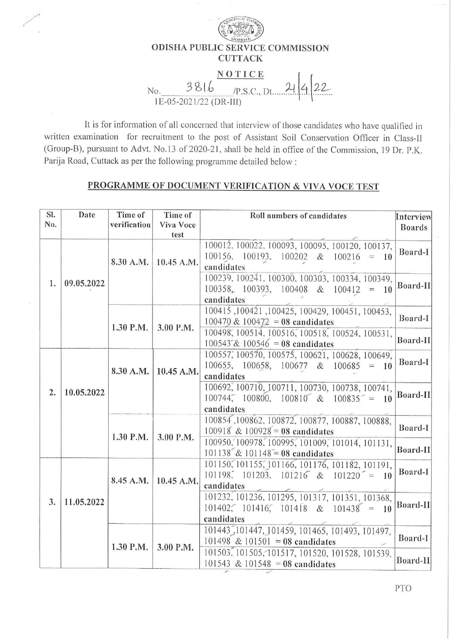

It is for information of all concerned that interview of those candidates who have qualified in written examination for recruitment to the post of Assistant Soil Conservation Officer in Class-II (Group-B), pursuant to Advt. No.13 of 2020-21, shall be held in office of the Commission, 19 Dr. P.K. Parija Road, Cuttack as per the following programme detailed below :

## **PROGRAMME OF DOCUMENT VERIFICATION & VIVA VOCE TEST**

| SI. | Date       | Time of      | Time of                  | Roll numbers of candidates                                                                                                            | Interview     |
|-----|------------|--------------|--------------------------|---------------------------------------------------------------------------------------------------------------------------------------|---------------|
| No. |            | verification | <b>Viva Voce</b><br>test |                                                                                                                                       | <b>Boards</b> |
| 1.  | 09.05.2022 | 8.30 A.M.    | 10.45 A.M.               | 100012, 100022, 100093, 100095, 100120, 100137,<br>$100156, 100193, 100202 \& 100216 = 10$<br>candidates                              | Board-I       |
|     |            |              |                          | 100239, 100241, 100300, 100303, 100334, 100349,<br>$100358$ , $100393$ , $100408$ & $100412 = 10$<br>candidates                       | Board-II      |
|     |            | 1.30 P.M.    | 3.00 P.M.                | 100415, 100421, 100425, 100429, 100451, 100453,<br>100470 & 100472 = 08 candidates<br>100498, 100514, 100516, 100518, 100524, 100531, | Board-I       |
|     |            |              |                          | $100543 \& 100546 = 08$ candidates                                                                                                    | Board-II      |
| 2.  | 10.05.2022 | 8.30 A.M.    | 10.45 A.M.               | 100557, 100570, 100575, 100621, 100628, 100649,<br>$100655$ , $100658$ , $100677$ & $100685 = 10$<br>candidates                       | Board-I       |
|     |            |              |                          | 100692, 100710, 100711, 100730, 100738, 100741,<br>$100744$ , $100800$ , $100810$ & $100835$ = 10<br>candidates                       | Board-II      |
|     |            | 1.30 P.M.    | 3.00 P.M.                | 100854, 100862, 100872, 100877, 100887, 100888,<br>100918 & 100928 = 08 candidates                                                    | Board-I       |
|     |            |              |                          | 100950, 100978, 100995, 101009, 101014, 101131,<br>101138 & 101148 = 08 candidates                                                    | Board-II      |
| 3.  | 11.05.2022 | 8.45 A.M.    | 10.45 A.M.               | 101150, 101155, 101166, 101176, 101182, 101191,<br>101198, 101203, 101216 & 101220 <sup>-</sup> = 10<br>candidates                    | Board-I       |
|     |            |              |                          | 101232, 101236, 101295, 101317, 101351, 101368,<br>$101402$ ; $101416$ ; $101418$ & $101438$ = 10<br>candidates                       | Board-II      |
|     |            | 1.30 P.M.    | 3.00 P.M.                | 101443, 101447, 101459, 101465, 101493, 101497,<br>$101498 \& 101501 = 08$ candidates                                                 | Board-I       |
|     |            |              |                          | 101503, 101505, 101517, 101520, 101528, 101539,<br>101543 & 101548 = 08 candidates                                                    | Board-II      |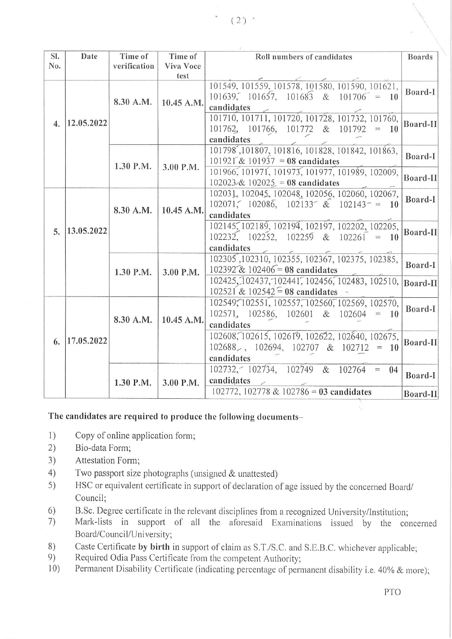| SI. | Date       | Time of      | Time of    | Roll numbers of candidates                      | <b>Boards</b> |
|-----|------------|--------------|------------|-------------------------------------------------|---------------|
| No. |            | verification | Viva Voce  |                                                 |               |
|     |            |              | test       |                                                 |               |
| 4.  | 12.05.2022 | 8.30 A.M.    | 10.45 A.M. | 101549, 101559, 101578, 101580, 101590, 101621, | Board-I       |
|     |            |              |            | $101639$ , $101657$ , $101683$ & $101706$ = 10  |               |
|     |            |              |            | candidates                                      |               |
|     |            |              |            | 101710, 101711, 101720, 101728, 101732, 101760, |               |
|     |            |              |            | $101762$ , $101766$ , $101772$ & $101792 = 10$  | Board-II      |
|     |            |              |            | candidates                                      |               |
|     |            | 1.30 P.M.    | 3.00 P.M.  | 101798, 101807, 101816, 101828, 101842, 101863, | Board-I       |
|     |            |              |            | $101921^{\circ}$ & $101937 = 08$ candidates     |               |
|     |            |              |            | 101966, 101971, 101973, 101977, 101989, 102009, |               |
|     |            |              |            | $102023 \& 102025 = 08$ candidates              | Board-II      |
|     |            |              |            |                                                 |               |
| 5.  | 13.05.2022 | 8.30 A.M.    | 10.45 A.M. | 102031, 102045, 102048, 102056, 102060, 102067, | Board-I       |
|     |            |              |            | $102071, 102086, 102133 \& 102143 = 10$         |               |
|     |            |              |            | candidates                                      |               |
|     |            |              |            | 102145, 102189, 102194, 102197, 102202, 102205, | Board-II      |
|     |            |              |            | $102232, 102252, 102259$ & $102261 = 10$        |               |
|     |            |              |            | candidates                                      |               |
|     |            | 1.30 P.M.    | 3.00 P.M.  | 102305, 102310, 102355, 102367, 102375, 102385, | Board-I       |
|     |            |              |            | 102392 & 102406 = 08 candidates                 |               |
|     |            |              |            | 102425, 102437, 102441, 102456, 102483, 102510, | Board-II      |
|     |            |              |            | 102521 & 102542 = 08 candidates                 |               |
| 6.  | 17.05.2022 | 8.30 A.M.    | 10.45 A.M. | 102549, 102551, 102557, 102560, 102569, 102570, |               |
|     |            |              |            | $102571, 102586, 102601 \& 102604 = 10$         | Board-I       |
|     |            |              |            |                                                 |               |
|     |            |              |            | candidates                                      |               |
|     |            |              |            | 102608, 102615, 102619, 102622, 102640, 102675, | Board-II      |
|     |            |              |            | $102688$ , $102694$ , $102707$ & $102712 = 10$  |               |
|     |            |              |            | candidates                                      |               |
|     |            | 1.30 P.M.    | 3.00 P.M.  | $102732, -102734, 102749$ & $102764 = 04$       | Board-I       |
|     |            |              |            | candidates                                      |               |
|     |            |              |            | 102772, 102778 & 102786 = 03 candidates         |               |
|     |            |              |            |                                                 | Board-II      |

## The candidates are required to produce the following documents-

- $1)$ Copy of online application form;
- $2)$ Bio-data Form;
- $3)$ Attestation Form;
- Two passport size photographs (unsigned & unattested)  $4)$
- HSC or equivalent certificate in support of declaration of age issued by the concerned Board/  $5)$ Council:
- B.Sc. Degree certificate in the relevant disciplines from a recognized University/Institution;  $6)$
- Mark-lists in support of all the aforesaid Examinations issued by the concerned  $7)$ Board/Council/University;
- Caste Certificate by birth in support of claim as S.T./S.C. and S.E.B.C. whichever applicable; 8)
- Required Odia Pass Certificate from the competent Authority; 9)
- Permanent Disability Certificate (indicating percentage of permanent disability i.e. 40% & more);  $10)$